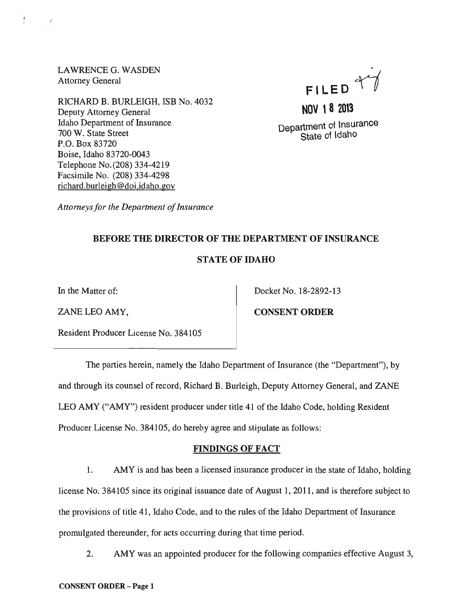LAWRENCE G. WASDEN Attorney General

 $\mathcal{R}$ 

RICHARD B. BURLEIGH, ISB No. 4032 Deputy Attorney General Idaho Department of Insurance 700 W. State Street P.O. Box 83720 Boise, Idaho 83720-0043 Telephone No. (208) 334-4219 Facsimile No. (208) 334-4298 richard.burleigh@doi.idaho.gov



**NOV 18 2013**  Department of Insurance State of Idaho

*Attorneys for the Department of Insurance* 

# BEFORE THE DIRECTOR OF THE DEPARTMENT OF INSURANCE

## STATE OF IDAHO

In the Matter of: Docket No. 18-2892-13

ZANE LEO AMY, CONSENT ORDER

Resident Producer License No. 384105

The parties herein, namely the Idaho Department of Insurance (the "Department"), by and through its counsel of record, Richard B. Burleigh, Deputy Attorney General, and ZANE LEO AMY ("AMY") resident producer under title 41 of the Idaho Code, holding Resident Producer License No. 384105, do hereby agree and stipulate as follows:

## FINDINGS OF FACT

1. AMY is and has been a licensed insurance producer in the state of Idaho, holding license No. 384105 since its original issuance date of August 1, 2011, and is therefore subject to the provisions of title 41, Idaho Code, and to the rules of the Idaho Department of Insurance promulgated thereunder, for acts occurring during that time period.

2. AMY was an appointed producer for the following companies effective August 3,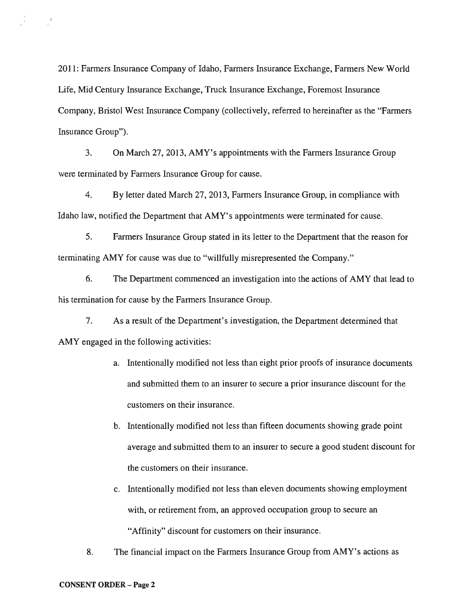2011: Farmers Insurance Company of Idaho, Farmers Insurance Exchange, Farmers New World Life, Mid Century Insurance Exchange, Truck Insurance Exchange, Foremost Insurance Company, Bristol West Insurance Company (collectively, referred to hereinafter as the "Farmers Insurance Group").

3. On March 27, 2013, AMY's appointments with the Farmers Insurance Group were terminated by Farmers Insurance Group for cause.

4. By letter dated March 27,2013, Farmers Insurance Group, in compliance with Idaho law, notified the Department that AMY's appointments were terminated for cause.

5. Farmers Insurance Group stated in its letter to the Department that the reason for terminating AMY for cause was due to "willfully misrepresented the Company."

6. The Department commenced an investigation into the actions of AMY that lead to his termination for cause by the Farmers Insurance Group.

7. As a result of the Department's investigation, the Department determined that AMY engaged in the following activities:

- a. Intentionally modified not less than eight prior proofs of insurance documents and submitted them to an insurer to secure a prior insurance discount for the customers on their insurance.
- b. Intentionally modified not less than fifteen documents showing grade point average and submitted them to an insurer to secure a good student discount for the customers on their insurance.
- c. Intentionally modified not less than eleven documents showing employment with, or retirement from, an approved occupation group to secure an "Affinity" discount for customers on their insurance.
- 8. The financial impact on the Farmers Insurance Group from AMY's actions as

 $\mathcal{L} = \mathcal{L}$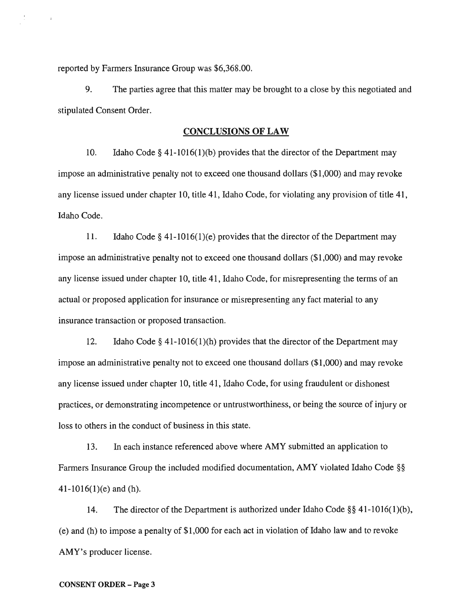reported by Farmers Insurance Group was \$6,368.00.

9. The parties agree that this matter may be brought to a close by this negotiated and stipulated Consent Order.

#### CONCLUSIONS OF LAW

10. Idaho Code § 41-1016(1)(b) provides that the director of the Department may impose an administrative penalty not to exceed one thousand dollars (\$1,000) and may revoke any license issued under chapter 10, title 41, Idaho Code, for violating any provision of title 41, Idaho Code.

11. Idaho Code  $\S$  41-1016(1)(e) provides that the director of the Department may impose an administrative penalty not to exceed one thousand dollars (\$1,000) and may revoke any license issued under chapter 10, title 41, Idaho Code, for misrepresenting the terms of an actual or proposed application for insurance or misrepresenting any fact material to any insurance transaction or proposed transaction.

12. Idaho Code § 41-1016(1)(h) provides that the director of the Department may impose an administrative penalty not to exceed one thousand dollars (\$1,000) and may revoke any license issued under chapter 10, title 41, Idaho Code, for using fraudulent or dishonest practices, or demonstrating incompetence or untrustworthiness, or being the source of injury or loss to others in the conduct of business in this state.

13. In each instance referenced above where AMY submitted an application to Farmers Insurance Group the included modified documentation, AMY violated Idaho Code §§ 41-1016(l)(e) and (h).

14. The director of the Department is authorized under Idaho Code §§ 41-1016(1)(b), (e) and (h) to impose a penalty of \$1,000 for each act in violation of Idaho law and to revoke AMY's producer license.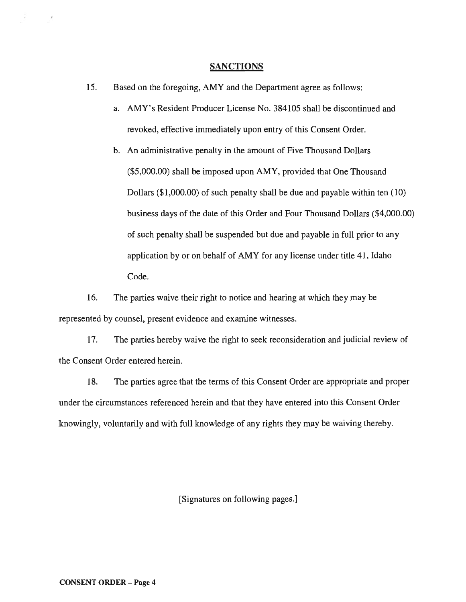#### **SANCTIONS**

- 15. Based on the foregoing, AMY and the Department agree as follows:
	- a. AMY's Resident Producer License No. 384105 shall be discontinued and revoked, effective immediately upon entry of this Consent Order.
	- b. An administrative penalty in the amount of Five Thousand Dollars (\$5,000.00) shall be imposed upon AMY, provided that One Thousand Dollars (\$1,000.00) of such penalty shall be due and payable within ten (10) business days of the date of this Order and Four Thousand Dollars (\$4,000.00) of such penalty shall be suspended but due and payable in full prior to any application by or on behalf of AMY for any license under title 41, Idaho Code.

16. The parties waive their right to notice and hearing at which they may be represented by counsel, present evidence and examine witnesses.

17. The parties hereby waive the right to seek reconsideration and judicial review of the Consent Order entered herein.

18. The parties agree that the terms of this Consent Order are appropriate and proper under the circumstances referenced herein and that they have entered into this Consent Order knowingly, voluntarily and with full knowledge of any rights they may be waiving thereby.

[Signatures on following pages.]

 $\sim$   $^{-1}$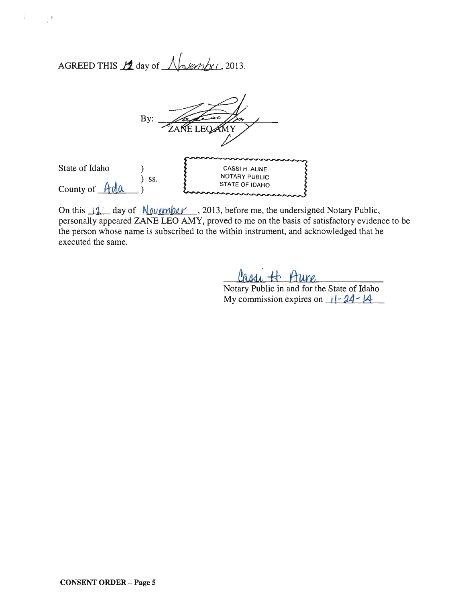AGREED THIS  $\mathcal{L}$  day of  $\bigwedge_{x \in \mathcal{L}} \mathcal{L}$  2013.



On this  $\frac{1}{2}$  day of  $\frac{N}{\omega}$  day of  $\frac{N}{\omega}$   $\frac{N}{\omega}$ , 2013, before me, the undersigned Notary Public, personally appeared ZANE LEO AMY, proved to me on the basis of satisfactory evidence to be the person whose name is subscribed to the within instrument, and acknowledged that he executed the same.

Notary Public in and for the State of Idaho My commission expires on  $11-24-14$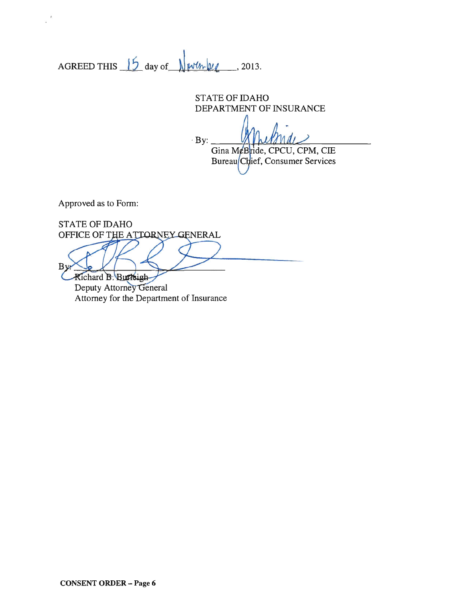AGREED THIS  $15$  day of  $\sqrt{\frac{\text{wtm}^2}{2}}$ , 2013.

STATE OF IDAHO DEPARTMENT OF INSURANCE

 $By$ : Gina McBride, CPCU, CPM, CIE Bureau Chief, Consumer Services

Approved as to Form:

STATE OF IDAHO OFFICE OF THE ATTORNEY GENERAL  $B$ Richard B. Burkigh-

Deputy Attorney General Attorney for the Department of Insurance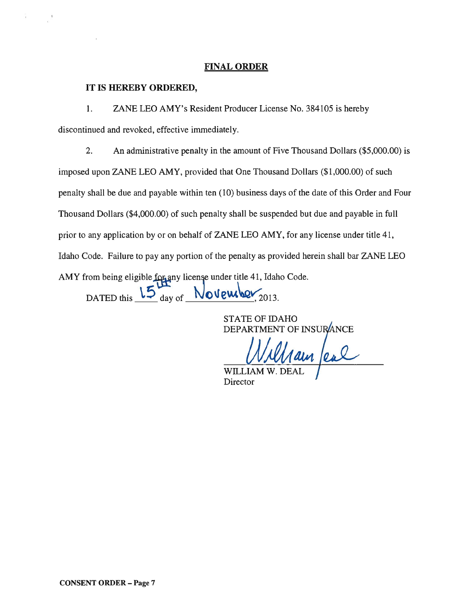## FINAL ORDER

#### **IT IS HEREBY ORDERED,**

1. ZANE LEO AMY's Resident Producer License No. 384105 is hereby discontinued and revoked, effective immediately.

2. An administrative penalty in the amount of Five Thousand Dollars (\$5,000.00) is imposed upon ZANE LEO AMY, provided that One Thousand Dollars (\$1,000.00) of such penalty shall be due and payable within ten (10) business days of the date of this Order and Four Thousand Dollars (\$4,000.00) of such penalty shall be suspended but due and payable in full prior to any application by or on behalf of ZANE LEO AMY, for any license under title 41, Idaho Code. Failure to pay any portion of the penalty as provided herein shall bar ZANE LEO AMY from being eligible for any license under title 41, Idaho Code.

DATED this  $15\frac{\mu}{\text{day of}}$  November<sub>, 2013.</sub>

STATE OF IDAHO

DEPARTMENT OF INSURANCE

 ${\rm W}\Pi$ **Director**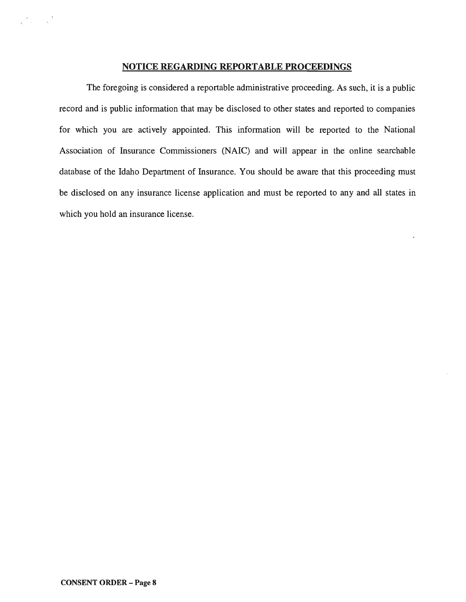## **NOTICE REGARDING REPORTABLE PROCEEDINGS**

The foregoing is considered a reportable administrative proceeding. As such, it is a public record and is public information that may be disclosed to other states and reported to companies for which you are actively appointed. This information will be reported to the National Association of Insurance Commissioners (NAIC) and will appear in the online searchable database of the Idaho Department of Insurance. You should be aware that this proceeding must be disclosed on any insurance license application and must be reported to any and all states in which you hold an insurance license.

 $\epsilon$  .  $\epsilon$  .